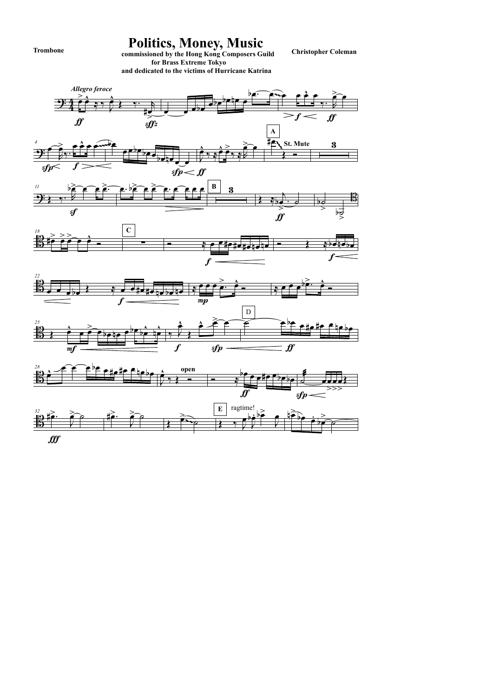



## Politics, Money, Music<br>
commissioned by the Hong Kong Composers Guild Christopher Coleman

 for Brass Extreme Tokyo and dedicated to the victims of Hurricane Katrina

Trombone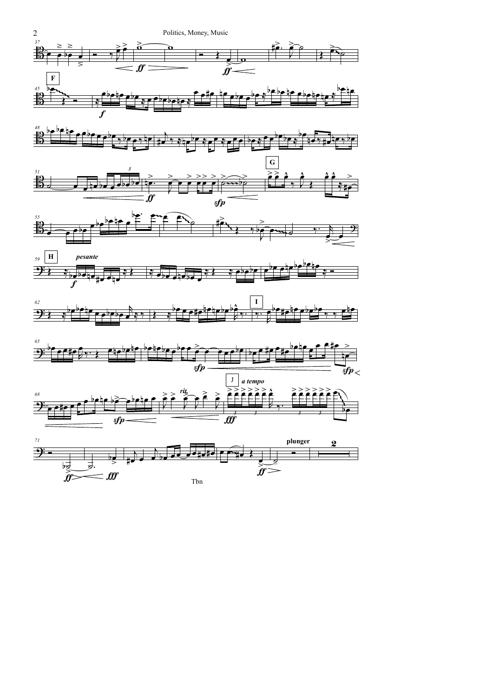